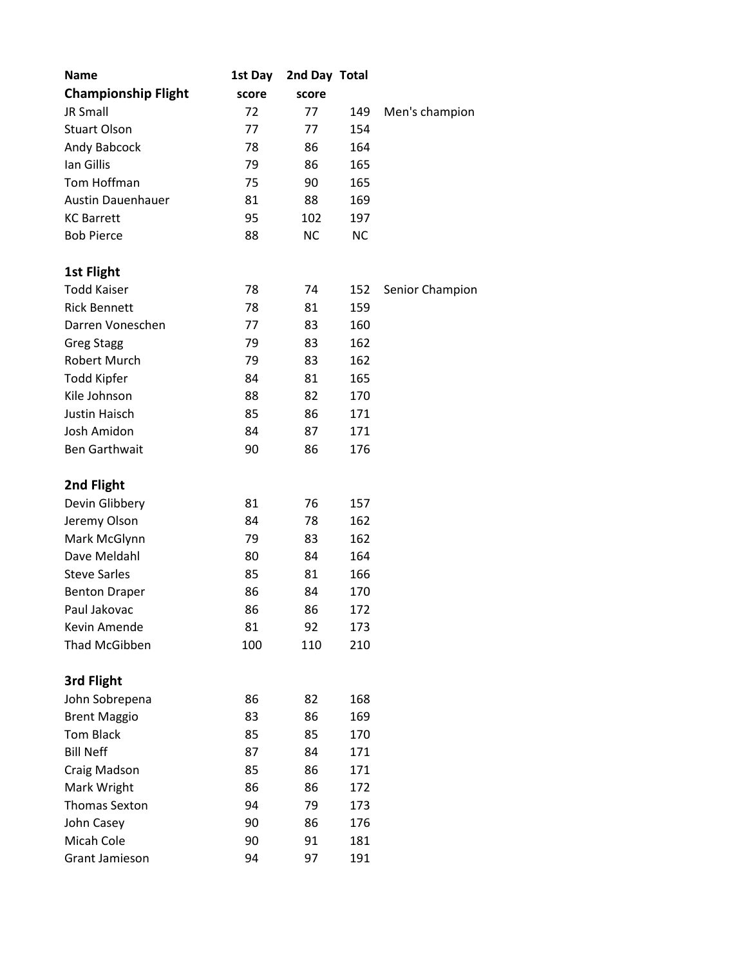| <b>Name</b>                        | 1st Day  | 2nd Day Total |            |                 |
|------------------------------------|----------|---------------|------------|-----------------|
| <b>Championship Flight</b>         | score    | score         |            |                 |
| JR Small                           | 72       | 77            | 149        | Men's champion  |
| <b>Stuart Olson</b>                | 77       | 77            | 154        |                 |
| Andy Babcock                       | 78       | 86            | 164        |                 |
| Ian Gillis                         | 79       | 86            | 165        |                 |
| Tom Hoffman                        | 75       | 90            | 165        |                 |
| <b>Austin Dauenhauer</b>           | 81       | 88            | 169        |                 |
| <b>KC Barrett</b>                  | 95       | 102           | 197        |                 |
| <b>Bob Pierce</b>                  | 88       | <b>NC</b>     | <b>NC</b>  |                 |
| <b>1st Flight</b>                  |          |               |            |                 |
| <b>Todd Kaiser</b>                 | 78       | 74            |            |                 |
| <b>Rick Bennett</b>                | 78       | 81            | 152<br>159 | Senior Champion |
| Darren Voneschen                   | 77       | 83            | 160        |                 |
|                                    |          | 83            |            |                 |
| <b>Greg Stagg</b>                  | 79       |               | 162        |                 |
| Robert Murch                       | 79       | 83<br>81      | 162        |                 |
| <b>Todd Kipfer</b><br>Kile Johnson | 84<br>88 | 82            | 165<br>170 |                 |
| Justin Haisch                      | 85       | 86            | 171        |                 |
| Josh Amidon                        | 84       | 87            | 171        |                 |
| <b>Ben Garthwait</b>               | 90       | 86            | 176        |                 |
|                                    |          |               |            |                 |
| 2nd Flight                         |          |               |            |                 |
| Devin Glibbery                     | 81       | 76            | 157        |                 |
| Jeremy Olson                       | 84       | 78            | 162        |                 |
| Mark McGlynn                       | 79       | 83            | 162        |                 |
| Dave Meldahl                       | 80       | 84            | 164        |                 |
| <b>Steve Sarles</b>                | 85       | 81            | 166        |                 |
| <b>Benton Draper</b>               | 86       | 84            | 170        |                 |
| Paul Jakovac                       | 86       | 86            | 172        |                 |
| Kevin Amende                       | 81       | 92            | 173        |                 |
| Thad McGibben                      | 100      | 110           | 210        |                 |
| 3rd Flight                         |          |               |            |                 |
| John Sobrepena                     | 86       | 82            | 168        |                 |
| <b>Brent Maggio</b>                | 83       | 86            | 169        |                 |
| <b>Tom Black</b>                   | 85       | 85            | 170        |                 |
| <b>Bill Neff</b>                   | 87       | 84            | 171        |                 |
| Craig Madson                       | 85       | 86            | 171        |                 |
| Mark Wright                        | 86       | 86            | 172        |                 |
| <b>Thomas Sexton</b>               | 94       | 79            | 173        |                 |
| John Casey                         | 90       | 86            | 176        |                 |
| Micah Cole                         | 90       | 91            | 181        |                 |
| Grant Jamieson                     | 94       | 97            | 191        |                 |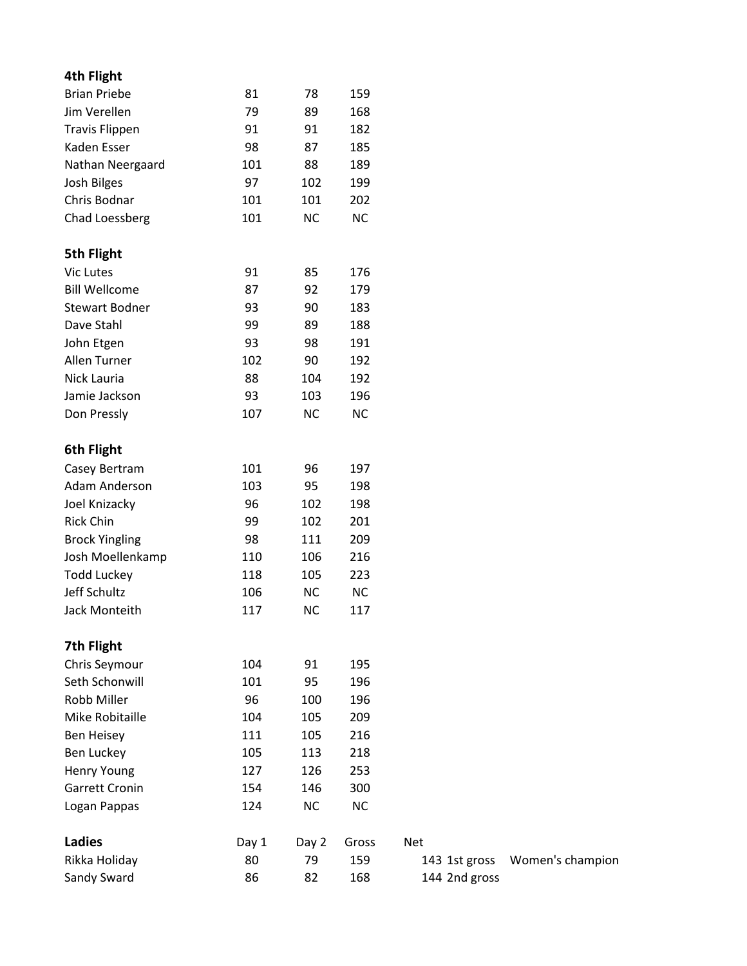## **4th Flight**

| Sandy Sward           | 86    | 82    | 168   | 144 2nd gross |                  |
|-----------------------|-------|-------|-------|---------------|------------------|
| Rikka Holiday         | 80    | 79    | 159   | 143 1st gross | Women's champion |
| <b>Ladies</b>         | Day 1 | Day 2 | Gross | <b>Net</b>    |                  |
| Logan Pappas          | 124   | NC    | NC    |               |                  |
| <b>Garrett Cronin</b> | 154   | 146   | 300   |               |                  |
| Henry Young           | 127   | 126   | 253   |               |                  |
| Ben Luckey            | 105   | 113   | 218   |               |                  |
| Ben Heisey            | 111   | 105   | 216   |               |                  |
| Mike Robitaille       | 104   | 105   | 209   |               |                  |
| Robb Miller           | 96    | 100   | 196   |               |                  |
| Seth Schonwill        | 101   | 95    | 196   |               |                  |
| Chris Seymour         | 104   | 91    | 195   |               |                  |
| 7th Flight            |       |       |       |               |                  |
| Jack Monteith         | 117   | NC    | 117   |               |                  |
| Jeff Schultz          | 106   | NC    | NC    |               |                  |
| <b>Todd Luckey</b>    | 118   | 105   | 223   |               |                  |
| Josh Moellenkamp      | 110   | 106   | 216   |               |                  |
| <b>Brock Yingling</b> | 98    | 111   | 209   |               |                  |
| Rick Chin             | 99    | 102   | 201   |               |                  |
| Joel Knizacky         | 96    | 102   | 198   |               |                  |
| Adam Anderson         | 103   | 95    | 198   |               |                  |
| Casey Bertram         | 101   | 96    | 197   |               |                  |
| 6th Flight            |       |       |       |               |                  |
| Don Pressly           | 107   | NC    | NC    |               |                  |
| Jamie Jackson         | 93    | 103   | 196   |               |                  |
| Nick Lauria           | 88    | 104   | 192   |               |                  |
| Allen Turner          | 102   | 90    | 192   |               |                  |
| John Etgen            | 93    | 98    | 191   |               |                  |
| Dave Stahl            | 99    | 89    | 188   |               |                  |
| <b>Stewart Bodner</b> | 93    | 90    | 183   |               |                  |
| <b>Bill Wellcome</b>  | 87    | 92    | 179   |               |                  |
| Vic Lutes             | 91    | 85    | 176   |               |                  |
| 5th Flight            |       |       |       |               |                  |
| Chad Loessberg        | 101   | NC    | NC    |               |                  |
| Chris Bodnar          | 101   | 101   | 202   |               |                  |
| Josh Bilges           | 97    | 102   | 199   |               |                  |
| Nathan Neergaard      | 101   | 88    | 189   |               |                  |
| Kaden Esser           | 98    | 87    | 185   |               |                  |
| <b>Travis Flippen</b> | 91    | 91    | 182   |               |                  |
| Jim Verellen          | 79    | 89    | 168   |               |                  |
| <b>Brian Priebe</b>   | 81    | 78    | 159   |               |                  |